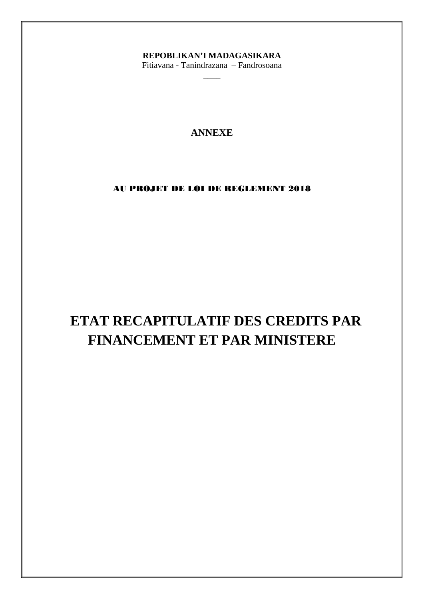## REPOBLIKAN'I MADAGASIKARA

Fitiavana - Tanindrazana - Fandrosoana

### **ANNEXE**

### AU PROJET DE LOI DE REGLEMENT 2018

# ETAT RECAPITULATIF DES CREDITS PAR FINANCEMENT ET PAR MINISTERE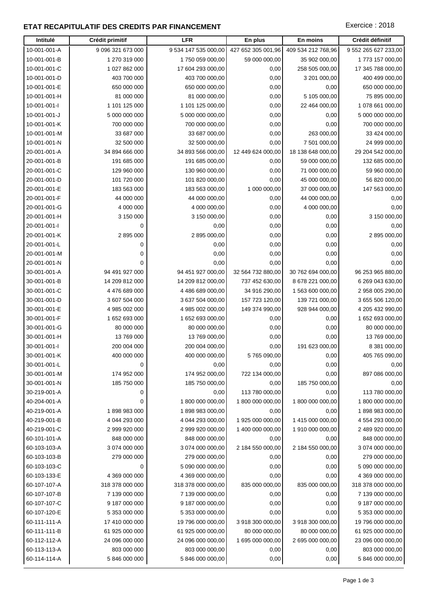### **ETAT RECAPITULATIF DES CREDITS PAR FINANCEMENT EXECUTES** Exercice : 2018

| Intitulé                     | Crédit primitif          | <b>LFR</b>                     | En plus<br>En moins                      |                          | Crédit définitif              |
|------------------------------|--------------------------|--------------------------------|------------------------------------------|--------------------------|-------------------------------|
| 10-001-001-A                 | 9 096 321 673 000        | 9 534 147 535 000,00           | 427 652 305 001,96<br>409 534 212 768,96 |                          | 9 552 265 627 233,00          |
| 10-001-001-B                 | 1 270 319 000            | 1750 059 000,00                | 59 000 000,00                            | 35 902 000,00            | 1773 157 000,00               |
| 10-001-001-C                 | 1 027 862 000            | 17 604 293 000,00              | 0,00                                     | 258 505 000,00           | 17 345 788 000,00             |
| 10-001-001-D                 | 403 700 000              | 403 700 000,00                 | 0,00                                     | 3 201 000,00             | 400 499 000,00                |
| 10-001-001-E                 | 650 000 000              | 650 000 000,00                 | 0,00                                     | 0,00                     | 650 000 000,00                |
| 10-001-001-H                 | 81 000 000               | 81 000 000,00                  | 0,00                                     | 5 105 000,00             | 75 895 000,00                 |
| 10-001-001-l                 | 1 101 125 000            | 1 101 125 000,00               | 0,00                                     | 22 464 000,00            | 1 078 661 000,00              |
| 10-001-001-J                 | 5 000 000 000            | 5 000 000 000,00               | 0,00                                     | 0,00                     | 5 000 000 000,00              |
| 10-001-001-K                 | 700 000 000              | 700 000 000,00                 | 0,00                                     | 0,00                     | 700 000 000,00                |
| 10-001-001-M                 | 33 687 000               | 33 687 000,00                  | 0,00                                     | 263 000,00               | 33 424 000,00                 |
| 10-001-001-N                 | 32 500 000               | 32 500 000,00                  | 0,00                                     | 7 501 000,00             | 24 999 000,00                 |
| 20-001-001-A                 | 34 894 666 000           | 34 893 566 000,00              | 12 449 624 000,00                        | 18 138 648 000,00        | 29 204 542 000,00             |
| 20-001-001-B                 | 191 685 000              | 191 685 000,00                 | 0,00                                     | 59 000 000,00            | 132 685 000,00                |
| 20-001-001-C                 | 129 960 000              | 130 960 000,00                 | 0,00                                     | 71 000 000,00            | 59 960 000,00                 |
| 20-001-001-D                 | 101 720 000              | 101 820 000,00                 | 0,00                                     | 45 000 000,00            | 56 820 000,00                 |
| 20-001-001-E                 | 183 563 000              | 183 563 000,00                 | 1 000 000,00                             | 37 000 000,00            | 147 563 000,00                |
| 20-001-001-F                 | 44 000 000               | 44 000 000,00                  | 0,00                                     | 44 000 000,00            | 0,00                          |
| 20-001-001-G                 | 4 000 000                | 4 000 000,00                   | 0,00                                     | 4 000 000,00             | 0,00                          |
| 20-001-001-H                 | 3 150 000                | 3 150 000,00                   | 0,00                                     | 0,00                     | 3 150 000,00                  |
| 20-001-001-l                 | 0                        | 0,00                           | 0,00                                     | 0,00                     | 0,00                          |
| 20-001-001-K                 | 2 895 000                | 2 895 000,00                   | 0,00                                     | 0,00                     | 2 895 000,00                  |
| 20-001-001-L                 | 0                        | 0,00                           | 0,00                                     | 0,00                     | 0,00                          |
| 20-001-001-M                 | 0                        | 0,00                           | 0,00                                     | 0,00                     | 0,00                          |
| 20-001-001-N                 | 0                        | 0,00                           | 0,00                                     | 0,00                     | 0,00                          |
| 30-001-001-A                 | 94 491 927 000           | 94 451 927 000,00              | 32 564 732 880,00                        | 30 762 694 000,00        | 96 253 965 880,00             |
| 30-001-001-B                 | 14 209 812 000           | 14 209 812 000,00              | 737 452 630,00                           | 8 678 221 000,00         | 6 269 043 630,00              |
| 30-001-001-C                 | 4 476 689 000            | 4 486 689 000,00               | 34 916 290,00                            | 1 563 600 000,00         | 2 958 005 290,00              |
| 30-001-001-D                 | 3 607 504 000            | 3 637 504 000,00               | 157 723 120,00                           | 139 721 000,00           | 3 655 506 120,00              |
| 30-001-001-E                 | 4 985 002 000            | 4 985 002 000,00               | 149 374 990,00                           | 928 944 000,00           | 4 205 432 990,00              |
| 30-001-001-F                 | 1 652 693 000            | 1 652 693 000,00               | 0,00                                     | 0,00                     | 1 652 693 000,00              |
| 30-001-001-G<br>30-001-001-H | 80 000 000<br>13 769 000 | 80 000 000,00<br>13 769 000,00 | 0,00                                     | 0,00                     | 80 000 000,00                 |
| 30-001-001-l                 | 200 004 000              | 200 004 000,00                 | 0,00<br>0,00                             | 0,00<br>191 623 000,00   | 13 769 000,00<br>8 381 000,00 |
| 30-001-001-K                 | 400 000 000              | 400 000 000,00                 | 5765090,00                               | 0,00                     | 405 765 090,00                |
| 30-001-001-L                 | 0                        | 0,00                           | 0,00                                     | 0,00                     | 0,00                          |
| 30-001-001-M                 | 174 952 000              | 174 952 000,00                 | 722 134 000,00                           | 0,00                     | 897 086 000,00                |
| 30-001-001-N                 | 185 750 000              | 185 750 000,00                 | 0,00                                     | 185 750 000,00           | 0,00                          |
| 30-219-001-A                 | 0                        | 0,00                           | 113 780 000,00                           | 0,00                     | 113 780 000,00                |
| 40-204-001-A                 | 0                        | 1 800 000 000,00               | 1 800 000 000,00                         | 1800 000 000,00          | 1 800 000 000,00              |
| 40-219-001-A                 | 1898983000               | 1898983000,00                  | 0,00                                     | 0,00                     | 1898983000,00                 |
| 40-219-001-B                 | 4 044 293 000            | 4 044 293 000,00               | 1 925 000 000,00                         | 1 415 000 000,00         | 4 554 293 000,00              |
| 40-219-001-C                 | 2 999 920 000            | 2 999 920 000,00               | 1 400 000 000,00                         | 1910 000 000,00          | 2 489 920 000,00              |
| 60-101-101-A                 | 848 000 000              | 848 000 000,00                 | 0,00                                     | 0,00                     | 848 000 000,00                |
| 60-103-103-A                 | 3 074 000 000            | 3 074 000 000,00               | 2 184 550 000,00                         | 2 184 550 000,00         | 3 074 000 000,00              |
| 60-103-103-B                 | 279 000 000              | 279 000 000,00                 | 0,00                                     | 0,00                     | 279 000 000,00                |
| 60-103-103-C                 | 0                        | 5 090 000 000,00               | 0,00                                     | 0,00                     | 5 090 000 000,00              |
| 60-103-133-E                 | 4 369 000 000            | 4 369 000 000,00               | 0,00                                     | 0,00                     | 4 369 000 000,00              |
| 60-107-107-A                 | 318 378 000 000          | 318 378 000 000,00             | 835 000 000,00                           | 835 000 000,00           | 318 378 000 000,00            |
| 60-107-107-B                 | 7 139 000 000            | 7 139 000 000,00               | 0,00                                     | 0,00                     | 7 139 000 000,00              |
| 60-107-107-C                 | 9 187 000 000            | 9 187 000 000,00               | 0,00                                     | 0,00                     | 9 187 000 000,00              |
| 60-107-120-E                 | 5 353 000 000            | 5 353 000 000,00               | 0,00<br>0,00                             |                          | 5 353 000 000,00              |
| 60-111-111-A                 | 17 410 000 000           | 19 796 000 000,00              | 3 918 300 000,00<br>3 918 300 000,00     |                          | 19 796 000 000,00             |
| 60-111-111-B                 | 61 925 000 000           | 61 925 000 000,00              | 80 000 000,00                            | 80 000 000,00            | 61 925 000 000,00             |
| 60-112-112-A                 | 24 096 000 000           | 24 096 000 000,00              | 1 695 000 000,00                         | 2 695 000 000,00         | 23 096 000 000,00             |
| 60-113-113-A                 | 803 000 000              | 803 000 000,00                 | 0,00                                     | 0,00                     | 803 000 000,00                |
| 60-114-114-A                 | 5 846 000 000            | 5 846 000 000,00               | 0,00                                     | 0,00<br>5 846 000 000,00 |                               |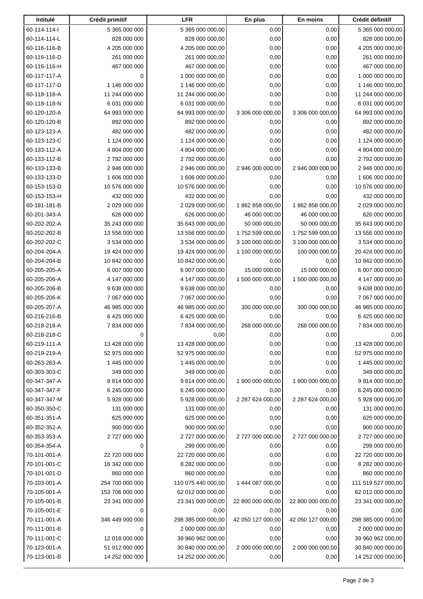| Intitulé     | Crédit primitif | <b>LFR</b>         | En plus           | En moins                  | Crédit définitif   |  |
|--------------|-----------------|--------------------|-------------------|---------------------------|--------------------|--|
| 60-114-114-l | 5 365 000 000   | 5 365 000 000,00   | 0,00              | 0,00                      | 5 365 000 000,00   |  |
| 60-114-114-L | 828 000 000     | 828 000 000,00     | 0,00              | 0,00                      | 828 000 000,00     |  |
| 60-116-116-B | 4 205 000 000   | 4 205 000 000,00   | 0,00              | 0,00<br>4 205 000 000,00  |                    |  |
| 60-116-116-D | 261 000 000     | 261 000 000,00     | 0,00              | 0,00                      | 261 000 000,00     |  |
| 60-116-116-H | 467 000 000     | 467 000 000,00     | 0,00              | 0,00                      | 467 000 000,00     |  |
| 60-117-117-A | 0               | 1 000 000 000,00   | 0,00              | 0,00                      | 1 000 000 000,00   |  |
| 60-117-117-D | 1 146 000 000   | 1 146 000 000,00   | 0,00              | 0,00                      | 1 146 000 000,00   |  |
| 60-118-118-A | 11 244 000 000  | 11 244 000 000,00  | 0,00              | 0,00                      | 11 244 000 000,00  |  |
| 60-118-118-N | 6 031 000 000   | 6 031 000 000,00   | 0,00              | 0,00                      | 6 031 000 000,00   |  |
| 60-120-120-A | 64 993 000 000  | 64 993 000 000,00  | 3 306 000 000,00  | 3 306 000 000,00          | 64 993 000 000,00  |  |
| 60-120-120-B | 892 000 000     | 892 000 000,00     | 0,00              | 0,00                      | 892 000 000,00     |  |
| 60-123-123-A | 482 000 000     | 482 000 000,00     | 0,00              | 0,00                      | 482 000 000,00     |  |
| 60-123-123-C | 1 124 000 000   | 1 124 000 000,00   | 0,00              | 0,00                      | 1 124 000 000,00   |  |
| 60-133-112-A | 4 804 000 000   | 4 804 000 000,00   | 0,00              | 0,00                      | 4 804 000 000,00   |  |
| 60-133-112-B | 2 792 000 000   | 2 792 000 000,00   | 0,00              | 0,00                      | 2 792 000 000,00   |  |
| 60-133-133-B | 2 946 000 000   | 2 946 000 000,00   | 2 946 000 000,00  | 2 946 000 000,00          | 2 946 000 000,00   |  |
| 60-133-133-D | 1 606 000 000   | 1 606 000 000,00   | 0,00              | 0,00                      | 1 606 000 000,00   |  |
| 60-153-153-D | 10 576 000 000  | 10 576 000 000,00  | 0,00              | 0,00                      | 10 576 000 000,00  |  |
| 60-153-153-H | 432 000 000     | 432 000 000,00     | 0,00              | 0,00                      | 432 000 000,00     |  |
| 60-181-181-B | 2 029 000 000   | 2 029 000 000,00   | 1862858000,00     | 1862858000,00             | 2 029 000 000,00   |  |
| 60-201-343-A | 626 000 000     | 626 000 000,00     | 46 000 000,00     | 46 000 000,00             | 626 000 000,00     |  |
| 60-202-202-A | 35 243 000 000  | 35 643 000 000,00  | 50 000 000,00     | 50 000 000,00             | 35 643 000 000,00  |  |
| 60-202-202-B | 13 556 000 000  | 13 556 000 000,00  | 1752 599 000,00   | 1752 599 000,00           | 13 556 000 000,00  |  |
| 60-202-202-C | 3 534 000 000   | 3 534 000 000,00   | 3 100 000 000,00  | 3 100 000 000,00          | 3 534 000 000,00   |  |
| 60-204-204-A | 19 424 000 000  | 19 424 000 000,00  | 1 100 000 000,00  | 100 000 000,00            | 20 424 000 000,00  |  |
| 60-204-204-B | 10 842 000 000  | 10 842 000 000,00  | 0,00              | 0,00                      | 10 842 000 000,00  |  |
| 60-205-205-A | 6 007 000 000   | 6 007 000 000,00   | 15 000 000,00     | 15 000 000,00             | 6 007 000 000,00   |  |
| 60-205-206-A | 4 147 000 000   | 4 147 000 000,00   | 1 500 000 000,00  | 1 500 000 000,00          | 4 147 000 000,00   |  |
| 60-205-206-B | 9 638 000 000   | 9 638 000 000,00   | 0,00              | 0,00                      | 9 638 000 000,00   |  |
| 60-205-206-K | 7 067 000 000   | 7 067 000 000,00   | 0,00              | 0,00                      | 7 067 000 000,00   |  |
| 60-205-207-A | 46 985 000 000  | 46 985 000 000,00  | 300 000 000,00    | 300 000 000,00            | 46 985 000 000,00  |  |
| 60-216-216-B | 6 425 000 000   | 6 425 000 000,00   | 0,00              | 0,00                      | 6 425 000 000,00   |  |
| 60-218-218-A | 7834000000      | 7834000000,00      | 268 000 000,00    | 268 000 000,00            | 7834000000.00      |  |
| 60-218-218-C | 0               | 0,00               | 0,00              | 0,00                      | 0,00               |  |
| 60-219-111-A | 13 428 000 000  | 13 428 000 000,00  | 0,00              | 0,00                      | 13 428 000 000,00  |  |
| 60-219-219-A | 52 975 000 000  | 52 975 000 000,00  | 0,00              | 0,00                      | 52 975 000 000,00  |  |
| 60-263-263-A | 1 445 000 000   | 1 445 000 000,00   | 0,00              | 0,00                      | 1 445 000 000,00   |  |
| 60-303-303-C | 349 000 000     | 349 000 000,00     | 0,00              | 0,00                      | 349 000 000,00     |  |
| 60-347-347-A | 9814000000      | 9 814 000 000,00   | 1 900 000 000,00  | 1 900 000 000,00          | 9 814 000 000,00   |  |
| 60-347-347-F | 6 245 000 000   | 6 245 000 000,00   | 0,00              | 0,00                      | 6 245 000 000,00   |  |
| 60-347-347-M | 5 928 000 000   | 5 928 000 000,00   | 2 287 624 000,00  | 2 287 624 000,00          | 5 928 000 000,00   |  |
| 60-350-350-C | 131 000 000     | 131 000 000,00     | 0,00              | 0,00                      | 131 000 000,00     |  |
| 60-351-351-A | 625 000 000     | 625 000 000,00     | 0,00              | 0,00                      | 625 000 000,00     |  |
| 60-352-352-A | 900 000 000     | 900 000 000,00     | 0,00              | 0,00                      | 900 000 000,00     |  |
| 60-353-353-A | 2 727 000 000   | 2 727 000 000,00   | 2 727 000 000,00  | 2 727 000 000,00          | 2 727 000 000,00   |  |
| 60-354-354-A | 0               | 299 000 000,00     | 0,00              | 0,00                      | 299 000 000,00     |  |
| 70-101-001-A | 22 720 000 000  | 22 720 000 000,00  | 0,00              | 0,00                      | 22 720 000 000,00  |  |
| 70-101-001-C | 16 342 000 000  | 8 282 000 000,00   | 0,00              | 0,00                      | 8 282 000 000,00   |  |
| 70-101-001-D | 860 000 000     | 860 000 000,00     | 0,00              | 0,00                      | 860 000 000,00     |  |
| 70-103-001-A | 254 700 000 000 | 110 075 440 000,00 | 1 444 087 000,00  |                           | 111 519 527 000,00 |  |
| 70-105-001-A | 153 706 000 000 | 62 012 000 000,00  | 0,00              | 0,00                      | 62 012 000 000,00  |  |
| 70-105-001-B | 23 341 000 000  | 23 341 000 000,00  |                   | 0,00<br>22 800 000 000,00 |                    |  |
|              |                 |                    | 22 800 000 000,00 |                           | 23 341 000 000,00  |  |
| 70-105-001-E | 0               | 0,00               | 0,00              | 0,00                      | 0,00               |  |
| 70-111-001-A | 346 449 000 000 | 298 385 000 000,00 | 42 050 127 000,00 | 42 050 127 000,00         | 298 385 000 000,00 |  |
| 70-111-001-B | 0               | 2 000 000 000,00   | 0,00              | 0,00                      | 2 000 000 000,00   |  |
| 70-111-001-C | 12 018 000 000  | 39 960 962 000,00  | 0,00              | 0,00                      | 39 960 962 000,00  |  |
| 70-123-001-A | 51 912 000 000  | 30 840 000 000,00  | 2 000 000 000,00  | 2 000 000 000,00          | 30 840 000 000,00  |  |
| 70-123-001-B | 14 252 000 000  | 14 252 000 000,00  | 0,00              | 0,00                      | 14 252 000 000,00  |  |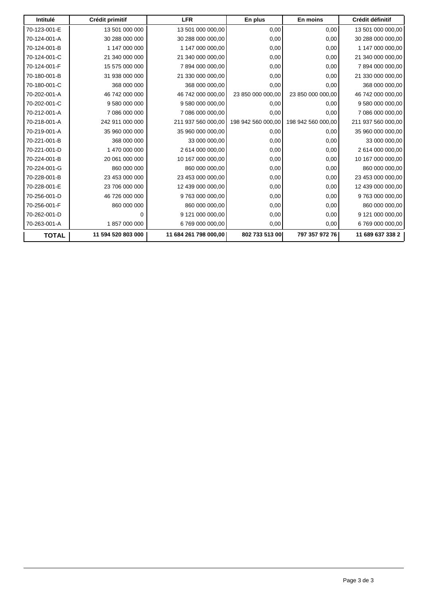| Intitulé     | Crédit primitif    | <b>LFR</b>            | En plus            | En moins           | Crédit définitif   |
|--------------|--------------------|-----------------------|--------------------|--------------------|--------------------|
| 70-123-001-E | 13 501 000 000     | 13 501 000 000,00     | 0,00               | 0,00               | 13 501 000 000,00  |
| 70-124-001-A | 30 288 000 000     | 30 288 000 000,00     | 0,00               | 0,00               | 30 288 000 000,00  |
| 70-124-001-B | 1 147 000 000      | 1 147 000 000.00      | 0,00               | 0,00               | 1 147 000 000,00   |
| 70-124-001-C | 21 340 000 000     | 21 340 000 000.00     | 0,00               | 0,00               | 21 340 000 000,00  |
| 70-124-001-F | 15 575 000 000     | 7894000000.00         | 0,00               | 0,00               | 7894000000,00      |
| 70-180-001-B | 31 938 000 000     | 21 330 000 000,00     | 0,00               | 0,00               | 21 330 000 000,00  |
| 70-180-001-C | 368 000 000        | 368 000 000,00        | 0,00               | 0,00               | 368 000 000,00     |
| 70-202-001-A | 46 742 000 000     | 46 742 000 000,00     | 23 850 000 000,00  | 23 850 000 000,00  | 46 742 000 000,00  |
| 70-202-001-C | 9 580 000 000      | 9 580 000 000,00      | 0,00               | 0,00               | 9 580 000 000,00   |
| 70-212-001-A | 7 086 000 000      | 7 086 000 000,00      | 0,00               | 0,00               | 7 086 000 000,00   |
| 70-218-001-A | 242 911 000 000    | 211 937 560 000,00    | 198 942 560 000,00 | 198 942 560 000,00 | 211 937 560 000,00 |
| 70-219-001-A | 35 960 000 000     | 35 960 000 000,00     | 0,00               | 0,00               | 35 960 000 000,00  |
| 70-221-001-B | 368 000 000        | 33 000 000,00         | 0,00               | 0,00               | 33 000 000,00      |
| 70-221-001-D | 1 470 000 000      | 2 614 000 000,00      | 0,00               | 0,00               | 2 614 000 000,00   |
| 70-224-001-B | 20 061 000 000     | 10 167 000 000,00     | 0,00               | 0,00               | 10 167 000 000,00  |
| 70-224-001-G | 860 000 000        | 860 000 000,00        | 0,00               | 0,00               | 860 000 000,00     |
| 70-228-001-B | 23 453 000 000     | 23 453 000 000,00     | 0,00               | 0,00               | 23 453 000 000,00  |
| 70-228-001-E | 23 706 000 000     | 12 439 000 000.00     | 0,00               | 0,00               | 12 439 000 000,00  |
| 70-256-001-D | 46 726 000 000     | 9 763 000 000,00      | 0,00               | 0,00               | 9 763 000 000,00   |
| 70-256-001-F | 860 000 000        | 860 000 000,00        | 0,00               | 0,00               | 860 000 000,00     |
| 70-262-001-D | $\Omega$           | 9 121 000 000,00      | 0,00               | 0,00               | 9 121 000 000,00   |
| 70-263-001-A | 1857000000         | 6 769 000 000,00      | 0,00               | 0,00               | 6 769 000 000,00   |
| <b>TOTAL</b> | 11 594 520 803 000 | 11 684 261 798 000,00 | 802 733 513 00     | 797 357 972 76     | 11 689 637 338 2   |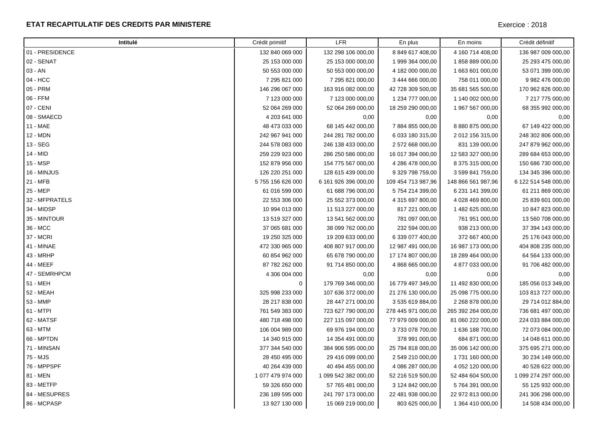#### **ETAT RECAPITULATIF DES CREDITS PAR MINISTERE**

| Intitulé        | Crédit primitif   | <b>LFR</b>           | En plus            | En moins           | Crédit définitif     |
|-----------------|-------------------|----------------------|--------------------|--------------------|----------------------|
| 01 - PRESIDENCE | 132 840 069 000   | 132 298 106 000,00   | 8 849 617 408,00   | 4 160 714 408,00   | 136 987 009 000,00   |
| 02 - SENAT      | 25 153 000 000    | 25 153 000 000,00    | 1 999 364 000,00   | 1858889000,00      | 25 293 475 000,00    |
| 03 - AN         | 50 553 000 000    | 50 553 000 000,00    | 4 182 000 000,00   | 1 663 601 000,00   | 53 071 399 000,00    |
| 04 - HCC        | 7 295 821 000     | 7 295 821 000,00     | 3 444 666 000,00   | 758 011 000,00     | 9 982 476 000,00     |
| 05 - PRM        | 146 296 067 000   | 163 916 082 000,00   | 42 728 309 500,00  | 35 681 565 500,00  | 170 962 826 000,00   |
| 06 - FFM        | 7 123 000 000     | 7 123 000 000,00     | 1 234 777 000,00   | 1 140 002 000,00   | 7 217 775 000,00     |
| 07 - CENI       | 52 064 269 000    | 52 064 269 000,00    | 18 259 290 000,00  | 1 967 567 000,00   | 68 355 992 000,00    |
| 08 - SMAECD     | 4 203 641 000     | 0,00                 | 0,00               | 0,00               | 0,00                 |
| 11 - MAE        | 48 473 033 000    | 68 145 442 000,00    | 7884855000,00      | 8 880 875 000,00   | 67 149 422 000,00    |
| 12 - MDN        | 242 967 941 000   | 244 281 782 000,00   | 6 033 180 315,00   | 2 012 156 315,00   | 248 302 806 000,00   |
| 13 - SEG        | 244 578 083 000   | 246 138 433 000,00   | 2 572 668 000,00   | 831 139 000,00     | 247 879 962 000,00   |
| 14 - MID        | 259 229 923 000   | 286 250 586 000,00   | 16 017 394 000,00  | 12 583 327 000,00  | 289 684 653 000,00   |
| 15 - MSP        | 152 879 956 000   | 154 775 567 000,00   | 4 286 478 000,00   | 8 375 315 000,00   | 150 686 730 000,00   |
| 16 - MINJUS     | 126 220 251 000   | 128 615 439 000,00   | 9 329 798 759,00   | 3 599 841 759,00   | 134 345 396 000,00   |
| 21 - MFB        | 5755 156 626 000  | 6 161 926 396 000,00 | 109 454 713 987,96 | 148 866 561 987,96 | 6 122 514 548 000,00 |
| 25 - MEP        | 61 016 599 000    | 61 688 796 000,00    | 5754 214 399,00    | 6 231 141 399,00   | 61 211 869 000,00    |
| 32 - MFPRATELS  | 22 553 306 000    | 25 552 373 000,00    | 4 315 697 800,00   | 4 028 469 800,00   | 25 839 601 000,00    |
| 34 - MIDSP      | 10 994 013 000    | 11 513 227 000,00    | 817 221 000,00     | 1 482 625 000,00   | 10 847 823 000,00    |
| 35 - MINTOUR    | 13 519 327 000    | 13 541 562 000,00    | 781 097 000,00     | 761 951 000,00     | 13 560 708 000,00    |
| 36 - MCC        | 37 065 681 000    | 38 099 762 000,00    | 232 594 000,00     | 938 213 000,00     | 37 394 143 000,00    |
| 37 - MCRI       | 19 250 325 000    | 19 209 633 000,00    | 6 339 077 400,00   | 372 667 400,00     | 25 176 043 000,00    |
| 41 - MINAE      | 472 330 965 000   | 408 807 917 000,00   | 12 987 491 000,00  | 16 987 173 000,00  | 404 808 235 000,00   |
| 43 - MRHP       | 60 854 962 000    | 65 678 790 000,00    | 17 174 807 000,00  | 18 289 464 000,00  | 64 564 133 000,00    |
| 44 - MEEF       | 87 782 262 000    | 91 714 850 000,00    | 4 868 665 000,00   | 4 877 033 000,00   | 91 706 482 000,00    |
| 47 - SEMRHPCM   | 4 306 004 000     | 0,00                 | 0,00               | 0,00               | 0,00                 |
| 51 - MEH        | 0                 | 179 769 346 000,00   | 16 779 497 349,00  | 11 492 830 000,00  | 185 056 013 349,00   |
| 52 - MEAH       | 325 998 233 000   | 107 636 372 000,00   | 21 276 130 000,00  | 25 098 775 000,00  | 103 813 727 000,00   |
| 53 - MMP        | 28 217 838 000    | 28 447 271 000,00    | 3 535 619 884,00   | 2 268 878 000,00   | 29 714 012 884,00    |
| 61 - MTPI       | 761 549 383 000   | 723 627 790 000,00   | 278 445 971 000,00 | 265 392 264 000,00 | 736 681 497 000,00   |
| 62 - MATSF      | 480 718 498 000   | 227 115 097 000,00   | 77 979 009 000,00  | 81 060 222 000,00  | 224 033 884 000,00   |
| 63 - MTM        | 106 004 989 000   | 69 976 194 000,00    | 3733078700,00      | 1 636 188 700,00   | 72 073 084 000,00    |
| 66 - MPTDN      | 14 340 915 000    | 14 354 491 000,00    | 378 991 000,00     | 684 871 000,00     | 14 048 611 000,00    |
| 71 - MINSAN     | 377 344 540 000   | 384 906 595 000,00   | 25 794 818 000,00  | 35 006 142 000,00  | 375 695 271 000,00   |
| 75 - MJS        | 28 450 495 000    | 29 416 099 000,00    | 2 549 210 000,00   | 1 731 160 000,00   | 30 234 149 000,00    |
| 76 - MPPSPF     | 40 264 439 000    | 40 494 455 000,00    | 4 086 287 000,00   | 4 052 120 000,00   | 40 528 622 000,00    |
| 81 - MEN        | 1 077 479 974 000 | 1 099 542 382 000,00 | 52 216 519 500,00  | 52 484 604 500,00  | 1 099 274 297 000,00 |
| 83 - METFP      | 59 326 650 000    | 57 765 481 000,00    | 3 124 842 000,00   | 5 764 391 000,00   | 55 125 932 000,00    |
| 84 - MESUPRES   | 236 189 595 000   | 241 797 173 000,00   | 22 481 938 000,00  | 22 972 813 000,00  | 241 306 298 000,00   |
| 86 - MCPASP     | 13 927 130 000    | 15 069 219 000,00    | 803 625 000,00     | 1 364 410 000,00   | 14 508 434 000,00    |